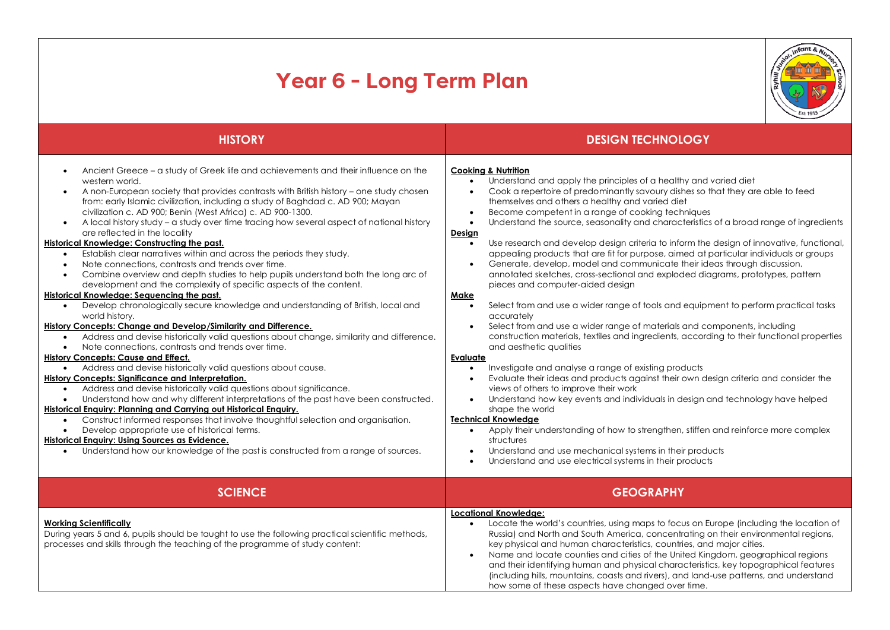# **Year 6 - Long Term Plan**



| <b>HISIORY</b>                                                                                                                                                                                                                                                                                                                                                                                                                                                                                          | נטע                                                                                                                                                                                                |
|---------------------------------------------------------------------------------------------------------------------------------------------------------------------------------------------------------------------------------------------------------------------------------------------------------------------------------------------------------------------------------------------------------------------------------------------------------------------------------------------------------|----------------------------------------------------------------------------------------------------------------------------------------------------------------------------------------------------|
| Ancient Greece – a study of Greek life and achievements and their influence on the<br>western world.<br>A non-European society that provides contrasts with British history - one study chosen<br>$\bullet$<br>from: early Islamic civilization, including a study of Baghdad c. AD 900; Mayan<br>civilization c. AD 900; Benin (West Africa) c. AD 900-1300.<br>A local history study - a study over time tracing how several aspect of national history<br>$\bullet$<br>are reflected in the locality | <b>Cooking &amp; Nutrition</b><br>Understand and apply the pr<br>Cook a repertoire of predom<br>themselves and others a hea<br>Become competent in a ran<br>Understand the source, sease<br>Design |
| Historical Knowledge: Constructing the past.                                                                                                                                                                                                                                                                                                                                                                                                                                                            | Use research and develop de                                                                                                                                                                        |
| Establish clear narratives within and across the periods they study.                                                                                                                                                                                                                                                                                                                                                                                                                                    | appealing products that are                                                                                                                                                                        |
| Note connections, contrasts and trends over time.                                                                                                                                                                                                                                                                                                                                                                                                                                                       | Generate, develop, model a                                                                                                                                                                         |
| Combine overview and depth studies to help pupils understand both the long arc of                                                                                                                                                                                                                                                                                                                                                                                                                       | annotated sketches, cross-se                                                                                                                                                                       |
| development and the complexity of specific aspects of the content.                                                                                                                                                                                                                                                                                                                                                                                                                                      | pieces and computer-aided                                                                                                                                                                          |
| Historical Knowledge: Sequencing the past.                                                                                                                                                                                                                                                                                                                                                                                                                                                              | Make                                                                                                                                                                                               |
| Develop chronologically secure knowledge and understanding of British, local and                                                                                                                                                                                                                                                                                                                                                                                                                        | Select from and use a wider                                                                                                                                                                        |
| world history.                                                                                                                                                                                                                                                                                                                                                                                                                                                                                          | accurately                                                                                                                                                                                         |
| History Concepts: Change and Develop/Similarity and Difference.                                                                                                                                                                                                                                                                                                                                                                                                                                         | Select from and use a wider                                                                                                                                                                        |
| Address and devise historically valid questions about change, similarity and difference.                                                                                                                                                                                                                                                                                                                                                                                                                | construction materials, textile                                                                                                                                                                    |
| Note connections, contrasts and trends over time.                                                                                                                                                                                                                                                                                                                                                                                                                                                       | and aesthetic qualities                                                                                                                                                                            |
| <b>History Concepts: Cause and Effect.</b><br>Address and devise historically valid questions about cause.<br>History Concepts: Significance and Interpretation.                                                                                                                                                                                                                                                                                                                                        | Evaluate<br>Investigate and analyse a ra<br>Evaluate their ideas and prod<br>$\bullet$                                                                                                             |
| Address and devise historically valid questions about significance.                                                                                                                                                                                                                                                                                                                                                                                                                                     | views of others to improve the                                                                                                                                                                     |
| Understand how and why different interpretations of the past have been constructed.                                                                                                                                                                                                                                                                                                                                                                                                                     | Understand how key events of                                                                                                                                                                       |
| <b>Historical Enquiry: Planning and Carrying out Historical Enquiry.</b>                                                                                                                                                                                                                                                                                                                                                                                                                                | shape the world                                                                                                                                                                                    |
| Construct informed responses that involve thoughtful selection and organisation.                                                                                                                                                                                                                                                                                                                                                                                                                        | <b>Technical Knowledge</b>                                                                                                                                                                         |
| Develop appropriate use of historical terms.                                                                                                                                                                                                                                                                                                                                                                                                                                                            | Apply their understanding of                                                                                                                                                                       |
| <b>Historical Enquiry: Using Sources as Evidence.</b>                                                                                                                                                                                                                                                                                                                                                                                                                                                   | structures                                                                                                                                                                                         |

• Understand how our knowledge of the past is constructed from a range of sources.

## **IGN TECHNOLOGY**

- rinciples of a healthy and varied diet
- hinantly savoury dishes so that they are able to feed althy and varied diet
- ee of cooking techniques
- onality and characteristics of a broad range of ingredients
- lesign criteria to inform the design of innovative, functional, fit for purpose, aimed at particular individuals or groups
- and communicate their ideas through discussion, ectional and exploded diagrams, prototypes, pattern desian
- range of tools and equipment to perform practical tasks
- range of materials and components, including es and ingredients, according to their functional properties
- nge of existing products
- ducts against their own design criteria and consider the veir work
- and individuals in design and technology have helped
- f how to strengthen, stiffen and reinforce more complex structures
- Understand and use mechanical systems in their products
- Understand and use electrical systems in their products

| <b>SCIENCE</b>                                                                                                                                                                                             | <b>GEOGRAPHY</b>                                                                                                                                                                                                                                                                                                                                                                                                                                                                                                                                                                                        |
|------------------------------------------------------------------------------------------------------------------------------------------------------------------------------------------------------------|---------------------------------------------------------------------------------------------------------------------------------------------------------------------------------------------------------------------------------------------------------------------------------------------------------------------------------------------------------------------------------------------------------------------------------------------------------------------------------------------------------------------------------------------------------------------------------------------------------|
| Working Scientifically<br>During years 5 and 6, pupils should be taught to use the following practical scientific methods,<br>processes and skills through the teaching of the programme of study content: | Locational Knowledae:<br>Locate the world's countries, using maps to focus on Europe (including the location of<br>Russia) and North and South America, concentrating on their environmental regions,<br>key physical and human characteristics, countries, and major cities.<br>Name and locate counties and cities of the United Kingdom, geographical regions<br>and their identifying human and physical characteristics, key topographical features<br>(including hills, mountains, coasts and rivers), and land-use patterns, and understand<br>how some of these aspects have changed over time. |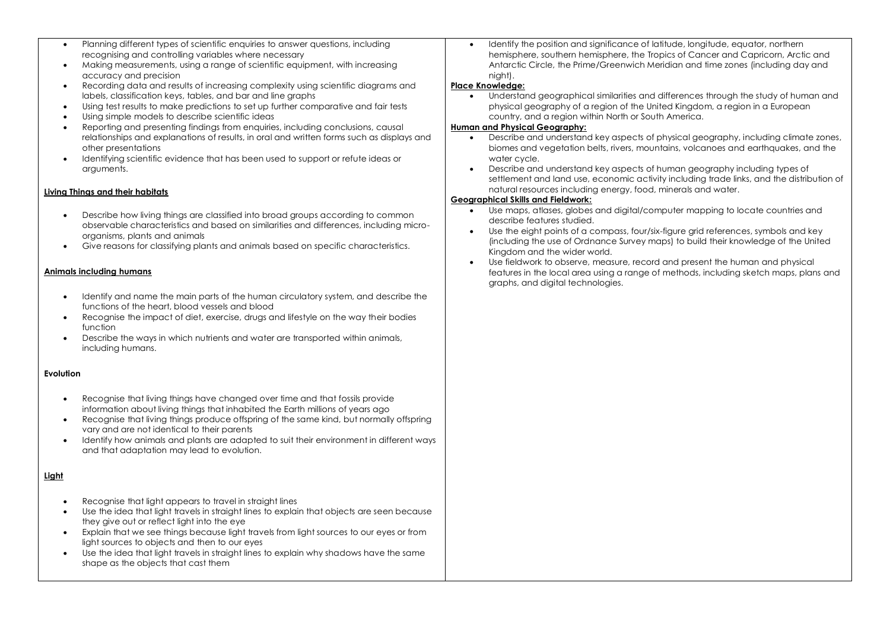- Planning different types of scientific enquiries to answer questions, including recognising and controlling variables where necessary
- Making measurements, using a range of scientific equipment, with increasing accuracy and precision
- Recording data and results of increasing complexity using scientific diagrams and labels, classification keys, tables, and bar and line graphs
- Using test results to make predictions to set up further comparative and fair tests
- Using simple models to describe scientific ideas
- Reporting and presenting findings from enquiries, including conclusions, causal relationships and explanations of results, in oral and written forms such as displays and other presentations
- Identifying scientific evidence that has been used to support or refute ideas or arguments.

#### **Living Things and their habitats**

- Describe how living things are classified into broad groups according to common observable characteristics and based on similarities and differences, including microorganisms, plants and animals
- Give reasons for classifying plants and animals based on specific characteristics.

#### **Animals including humans**

- Identify and name the main parts of the human circulatory system, and describe the functions of the heart, blood vessels and blood
- Recognise the impact of diet, exercise, drugs and lifestyle on the way their bodies function
- Describe the ways in which nutrients and water are transported within animals, including humans.

#### **Evolution**

- Recognise that living things have changed over time and that fossils provide information about living things that inhabited the Earth millions of years ago
- Recognise that living things produce offspring of the same kind, but normally offspring vary and are not identical to their parents
- Identify how animals and plants are adapted to suit their environment in different ways and that adaptation may lead to evolution.

### **Light**

- Recognise that light appears to travel in straight lines
- Use the idea that light travels in straight lines to explain that objects are seen because they give out or reflect light into the eye
- Explain that we see things because light travels from light sources to our eyes or from light sources to objects and then to our eyes
- Use the idea that light travels in straight lines to explain why shadows have the same shape as the objects that cast them

• Identify the position and significance of latitude, longitude, equator, northern hemisphere, southern hemisphere, the Tropics of Cancer and Capricorn, Arctic and Antarctic Circle, the Prime/Greenwich Meridian and time zones (including day and night).

#### **Place Knowledge:**

• Understand geographical similarities and differences through the study of human and physical geography of a region of the United Kingdom, a region in a European country, and a region within North or South America.

#### **Human and Physical Geography:**

- Describe and understand key aspects of physical geography, including climate zones, biomes and vegetation belts, rivers, mountains, volcanoes and earthquakes, and the water cycle.
- Describe and understand key aspects of human geography including types of settlement and land use, economic activity including trade links, and the distribution of natural resources including energy, food, minerals and water.

#### **Geographical Skills and Fieldwork:**

- Use maps, atlases, globes and digital/computer mapping to locate countries and describe features studied.
- Use the eight points of a compass, four/six-figure grid references, symbols and key (including the use of Ordnance Survey maps) to build their knowledge of the United Kingdom and the wider world.
- Use fieldwork to observe, measure, record and present the human and physical features in the local area using a range of methods, including sketch maps, plans and graphs, and digital technologies.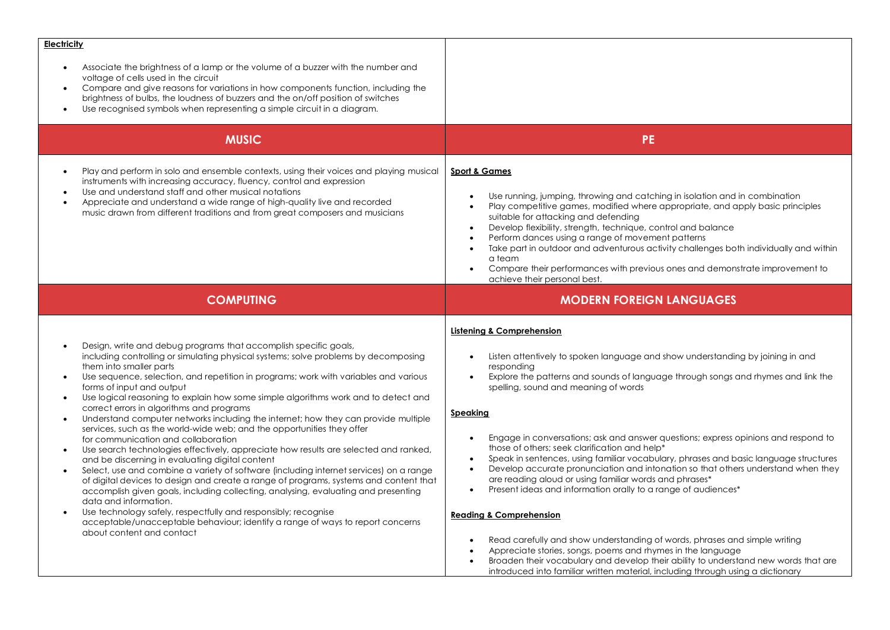| Electricity<br>Associate the brightness of a lamp or the volume of a buzzer with the number and<br>$\bullet$<br>voltage of cells used in the circuit<br>Compare and give reasons for variations in how components function, including the<br>$\bullet$<br>brightness of bulbs, the loudness of buzzers and the on/off position of switches<br>Use recognised symbols when representing a simple circuit in a diagram.<br>$\bullet$                                                                                                                                                                                                                                                                                                                                                                                                                                                                                                                                                                                                                                                                                                                                                                                                                                                                                                               |                                                                                                                                                                                                                                                                                                                                                                                                                                                                                                                                                                                                                                                                                                                                                                                                                                                                                                                                                                                                                                                                                             |
|--------------------------------------------------------------------------------------------------------------------------------------------------------------------------------------------------------------------------------------------------------------------------------------------------------------------------------------------------------------------------------------------------------------------------------------------------------------------------------------------------------------------------------------------------------------------------------------------------------------------------------------------------------------------------------------------------------------------------------------------------------------------------------------------------------------------------------------------------------------------------------------------------------------------------------------------------------------------------------------------------------------------------------------------------------------------------------------------------------------------------------------------------------------------------------------------------------------------------------------------------------------------------------------------------------------------------------------------------|---------------------------------------------------------------------------------------------------------------------------------------------------------------------------------------------------------------------------------------------------------------------------------------------------------------------------------------------------------------------------------------------------------------------------------------------------------------------------------------------------------------------------------------------------------------------------------------------------------------------------------------------------------------------------------------------------------------------------------------------------------------------------------------------------------------------------------------------------------------------------------------------------------------------------------------------------------------------------------------------------------------------------------------------------------------------------------------------|
| <b>MUSIC</b>                                                                                                                                                                                                                                                                                                                                                                                                                                                                                                                                                                                                                                                                                                                                                                                                                                                                                                                                                                                                                                                                                                                                                                                                                                                                                                                                     | <b>PE</b>                                                                                                                                                                                                                                                                                                                                                                                                                                                                                                                                                                                                                                                                                                                                                                                                                                                                                                                                                                                                                                                                                   |
| Play and perform in solo and ensemble contexts, using their voices and playing musical<br>$\bullet$<br>instruments with increasing accuracy, fluency, control and expression<br>Use and understand staff and other musical notations<br>Appreciate and understand a wide range of high-quality live and recorded<br>$\bullet$<br>music drawn from different traditions and from great composers and musicians                                                                                                                                                                                                                                                                                                                                                                                                                                                                                                                                                                                                                                                                                                                                                                                                                                                                                                                                    | <b>Sport &amp; Games</b><br>Use running, jumping, throwing and catching in isolation and in combination<br>Play competitive games, modified where appropriate, and apply basic principles<br>suitable for attacking and defending<br>Develop flexibility, strength, technique, control and balance<br>$\bullet$<br>Perform dances using a range of movement patterns<br>Take part in outdoor and adventurous activity challenges both individually and within<br>a team<br>Compare their performances with previous ones and demonstrate improvement to<br>achieve their personal best.                                                                                                                                                                                                                                                                                                                                                                                                                                                                                                     |
| <b>COMPUTING</b>                                                                                                                                                                                                                                                                                                                                                                                                                                                                                                                                                                                                                                                                                                                                                                                                                                                                                                                                                                                                                                                                                                                                                                                                                                                                                                                                 | <b>MODERN FOREIGN LANGUAGES</b>                                                                                                                                                                                                                                                                                                                                                                                                                                                                                                                                                                                                                                                                                                                                                                                                                                                                                                                                                                                                                                                             |
| Design, write and debug programs that accomplish specific goals,<br>including controlling or simulating physical systems; solve problems by decomposing<br>them into smaller parts<br>Use sequence, selection, and repetition in programs; work with variables and various<br>$\bullet$<br>forms of input and output<br>Use logical reasoning to explain how some simple algorithms work and to detect and<br>$\bullet$<br>correct errors in algorithms and programs<br>Understand computer networks including the internet; how they can provide multiple<br>$\bullet$<br>services, such as the world-wide web; and the opportunities they offer<br>for communication and collaboration<br>Use search technologies effectively, appreciate how results are selected and ranked,<br>$\bullet$<br>and be discerning in evaluating digital content<br>Select, use and combine a variety of software (including internet services) on a range<br>$\bullet$<br>of digital devices to design and create a range of programs, systems and content that<br>accomplish given goals, including collecting, analysing, evaluating and presenting<br>data and information.<br>Use technology safely, respectfully and responsibly; recognise<br>acceptable/unacceptable behaviour; identify a range of ways to report concerns<br>about content and contact | Listening & Comprehension<br>Listen attentively to spoken language and show understanding by joining in and<br>responding<br>Explore the patterns and sounds of language through songs and rhymes and link the<br>spelling, sound and meaning of words<br>Speaking<br>Engage in conversations; ask and answer questions; express opinions and respond to<br>those of others; seek clarification and help*<br>Speak in sentences, using familiar vocabulary, phrases and basic language structures<br>Develop accurate pronunciation and intonation so that others understand when they<br>are reading aloud or using familiar words and phrases*<br>Present ideas and information orally to a range of audiences*<br>$\bullet$<br><b>Reading &amp; Comprehension</b><br>Read carefully and show understanding of words, phrases and simple writing<br>Appreciate stories, songs, poems and rhymes in the language<br>Broaden their vocabulary and develop their ability to understand new words that are<br>introduced into familiar written material, including through using a dictionary |